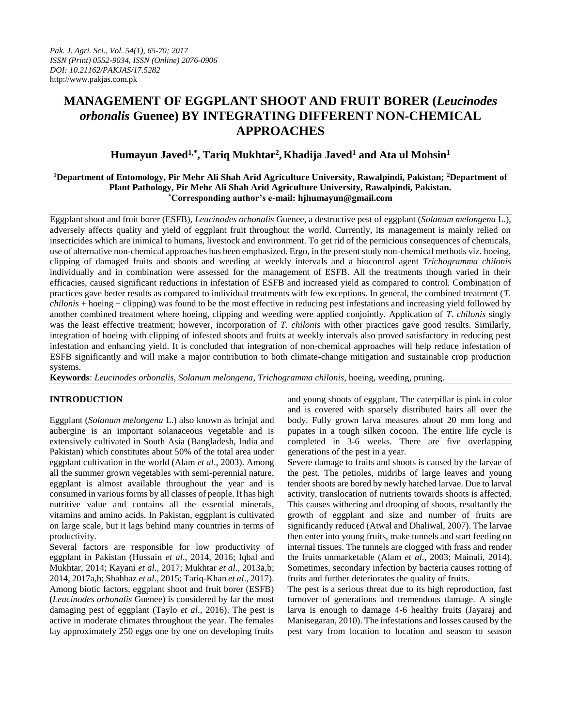# **MANAGEMENT OF EGGPLANT SHOOT AND FRUIT BORER (***Leucinodes orbonalis* **Guenee) BY INTEGRATING DIFFERENT NON-CHEMICAL APPROACHES**

## **Humayun Javed1,\*, Tariq Mukhtar<sup>2</sup> , Khadija Javed<sup>1</sup> and Ata ul Mohsin<sup>1</sup>**

## **<sup>1</sup>Department of Entomology, Pir Mehr Ali Shah Arid Agriculture University, Rawalpindi, Pakistan; <sup>2</sup>Department of Plant Pathology, Pir Mehr Ali Shah Arid Agriculture University, Rawalpindi, Pakistan. \*Corresponding author's e-mail: [hjhumayun@gmail.com](mailto:hjhumayun@gmail.com)**

Eggplant shoot and fruit borer (ESFB), *Leucinodes orbonalis* Guenee, a destructive pest of eggplant (*Solanum melongena* L.), adversely affects quality and yield of eggplant fruit throughout the world. Currently, its management is mainly relied on insecticides which are inimical to humans, livestock and environment. To get rid of the pernicious consequences of chemicals, use of alternative non-chemical approaches has been emphasized. Ergo, in the present study non-chemical methods viz. hoeing, clipping of damaged fruits and shoots and weeding at weekly intervals and a biocontrol agent *Trichogramma chilonis* individually and in combination were assessed for the management of ESFB. All the treatments though varied in their efficacies, caused significant reductions in infestation of ESFB and increased yield as compared to control. Combination of practices gave better results as compared to individual treatments with few exceptions. In general, the combined treatment (*T. chilonis* + hoeing + clipping) was found to be the most effective in reducing pest infestations and increasing yield followed by another combined treatment where hoeing, clipping and weeding were applied conjointly. Application of *T. chilonis* singly was the least effective treatment; however, incorporation of *T. chilonis* with other practices gave good results. Similarly, integration of hoeing with clipping of infested shoots and fruits at weekly intervals also proved satisfactory in reducing pest infestation and enhancing yield. It is concluded that integration of non-chemical approaches will help reduce infestation of ESFB significantly and will make a major contribution to both climate-change mitigation and sustainable crop production systems.

**Keywords**: *Leucinodes orbonalis*, *Solanum melongena*, *Trichogramma chilonis*, hoeing, weeding, pruning.

## **INTRODUCTION**

Eggplant (*Solanum melongena* L.) also known as brinjal and aubergine is an important solanaceous vegetable and is extensively cultivated in South Asia (Bangladesh, India and Pakistan) which constitutes about 50% of the total area under eggplant cultivation in the world (Alam *et al*., 2003). Among all the summer grown vegetables with semi-perennial nature, eggplant is almost available throughout the year and is consumed in various forms by all classes of people. It has high nutritive value and contains all the essential minerals, vitamins and amino acids. In Pakistan, eggplant is cultivated on large scale, but it lags behind many countries in terms of productivity.

Several factors are responsible for low productivity of eggplant in Pakistan (Hussain *et al*., 2014, 2016; Iqbal and Mukhtar, 2014; Kayani *et al*., 2017; Mukhtar *et al*., 2013a,b; 2014, 2017a,b; Shahbaz *et al*., 2015; Tariq-Khan *et al*., 2017). Among biotic factors, eggplant shoot and fruit borer (ESFB) (*Leucinodes orbonalis* Guenee) is considered by far the most damaging pest of eggplant (Taylo *et al*., 2016). The pest is active in moderate climates throughout the year. The females lay approximately 250 eggs one by one on developing fruits

and young shoots of eggplant. The caterpillar is pink in color and is covered with sparsely distributed hairs all over the body. Fully grown larva measures about 20 mm long and pupates in a tough silken cocoon. The entire life cycle is completed in 3-6 weeks. There are five overlapping generations of the pest in a year.

Severe damage to fruits and shoots is caused by the larvae of the pest. The petioles, midribs of large leaves and young tender shoots are bored by newly hatched larvae. Due to larval activity, translocation of nutrients towards shoots is affected. This causes withering and drooping of shoots, resultantly the growth of eggplant and size and number of fruits are significantly reduced (Atwal and Dhaliwal, 2007). The larvae then enter into young fruits, make tunnels and start feeding on internal tissues. The tunnels are clogged with frass and render the fruits unmarketable (Alam *et al*., 2003; Mainali, 2014). Sometimes, secondary infection by bacteria causes rotting of fruits and further deteriorates the quality of fruits.

The pest is a serious threat due to its high reproduction, fast turnover of generations and tremendous damage. A single larva is enough to damage 4-6 healthy fruits (Jayaraj and Manisegaran, 2010). The infestations and losses caused by the pest vary from location to location and season to season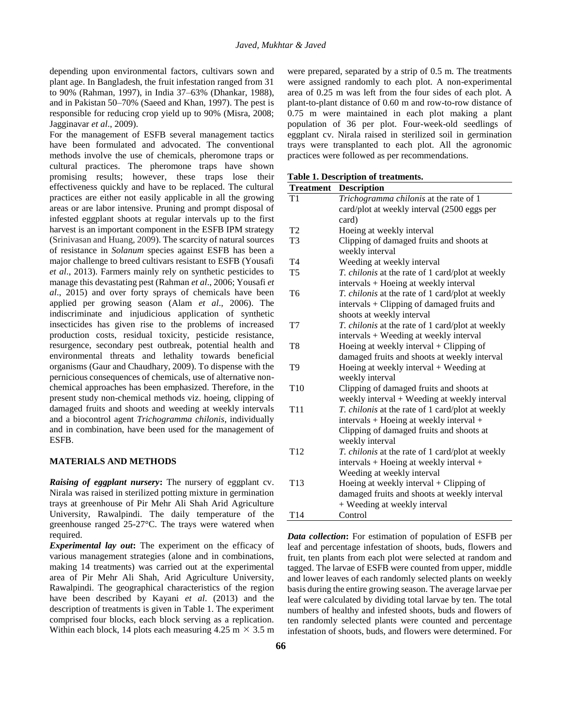depending upon environmental factors, cultivars sown and plant age. In Bangladesh, the fruit infestation ranged from 31 to 90% (Rahman, 1997), in India 37–63% (Dhankar, 1988), and in Pakistan 50–70% (Saeed and Khan, 1997). The pest is responsible for reducing crop yield up to 90% (Misra, 2008; Jagginavar *et al*., 2009).

For the management of ESFB several management tactics have been formulated and advocated. The conventional methods involve the use of chemicals, pheromone traps or cultural practices. The pheromone traps have shown promising results; however, these traps lose their effectiveness quickly and have to be replaced. The cultural practices are either not easily applicable in all the growing areas or are labor intensive. Pruning and prompt disposal of infested eggplant shoots at regular intervals up to the first harvest is an important component in the ESFB IPM strategy (Srinivasan and Huang, 2009). The scarcity of natural sources of resistance in *Solanum* species against ESFB has been a major challenge to breed cultivars resistant to ESFB (Yousafi *et al*., 2013). Farmers mainly rely on synthetic pesticides to manage this devastating pest (Rahman *et al*., 2006; Yousafi *et al*., 2015) and over forty sprays of chemicals have been applied per growing season (Alam *et al*., 2006). The indiscriminate and injudicious application of synthetic insecticides has given rise to the problems of increased production costs, residual toxicity, pesticide resistance, resurgence, secondary pest outbreak, potential health and environmental threats and lethality towards beneficial organisms (Gaur and Chaudhary, 2009). To dispense with the pernicious consequences of chemicals, use of alternative nonchemical approaches has been emphasized. Therefore, in the present study non-chemical methods viz. hoeing, clipping of damaged fruits and shoots and weeding at weekly intervals and a biocontrol agent *Trichogramma chilonis*, individually and in combination, have been used for the management of ESFB.

#### **MATERIALS AND METHODS**

*Raising of eggplant nursery***:** The nursery of eggplant cv. Nirala was raised in sterilized potting mixture in germination trays at greenhouse of Pir Mehr Ali Shah Arid Agriculture University, Rawalpindi. The daily temperature of the greenhouse ranged 25-27°C. The trays were watered when required.

*Experimental lay out***:** The experiment on the efficacy of various management strategies (alone and in combinations, making 14 treatments) was carried out at the experimental area of Pir Mehr Ali Shah, Arid Agriculture University, Rawalpindi. The geographical characteristics of the region have been described by Kayani *et al*. (2013) and the description of treatments is given in Table 1. The experiment comprised four blocks, each block serving as a replication. Within each block, 14 plots each measuring 4.25 m  $\times$  3.5 m were prepared, separated by a strip of 0.5 m. The treatments were assigned randomly to each plot. A non-experimental area of 0.25 m was left from the four sides of each plot. A plant-to-plant distance of 0.60 m and row-to-row distance of 0.75 m were maintained in each plot making a plant population of 36 per plot. Four-week-old seedlings of eggplant cv. Nirala raised in sterilized soil in germination trays were transplanted to each plot. All the agronomic practices were followed as per recommendations.

#### **Table 1. Description of treatments.**

| <b>Treatment</b> | <b>Description</b>                                          |
|------------------|-------------------------------------------------------------|
| T <sub>1</sub>   | Trichogramma chilonis at the rate of 1                      |
|                  | card/plot at weekly interval (2500 eggs per                 |
|                  | card)                                                       |
| T <sub>2</sub>   | Hoeing at weekly interval                                   |
| T3               | Clipping of damaged fruits and shoots at<br>weekly interval |
| T <sub>4</sub>   | Weeding at weekly interval                                  |
| T <sub>5</sub>   | T. chilonis at the rate of 1 card/plot at weekly            |
|                  | intervals + Hoeing at weekly interval                       |
| T6               | T. chilonis at the rate of 1 card/plot at weekly            |
|                  | intervals + Clipping of damaged fruits and                  |
|                  | shoots at weekly interval                                   |
| T7               | T. chilonis at the rate of 1 card/plot at weekly            |
|                  | intervals + Weeding at weekly interval                      |
| T8               | Hoeing at weekly interval $+$ Clipping of                   |
|                  | damaged fruits and shoots at weekly interval                |
| T9               | Hoeing at weekly interval $+$ Weeding at                    |
|                  | weekly interval                                             |
| T <sub>10</sub>  | Clipping of damaged fruits and shoots at                    |
|                  | weekly interval + Weeding at weekly interval                |
| T <sub>11</sub>  | T. chilonis at the rate of 1 card/plot at weekly            |
|                  | intervals + Hoeing at weekly interval +                     |
|                  | Clipping of damaged fruits and shoots at                    |
|                  | weekly interval                                             |
| T <sub>12</sub>  | T. chilonis at the rate of 1 card/plot at weekly            |
|                  | intervals + Hoeing at weekly interval +                     |
|                  | Weeding at weekly interval                                  |
| T <sub>13</sub>  | Hoeing at weekly interval $+$ Clipping of                   |
|                  | damaged fruits and shoots at weekly interval                |
|                  | + Weeding at weekly interval                                |
| T <sub>14</sub>  | Control                                                     |

*Data collection***:** For estimation of population of ESFB per leaf and percentage infestation of shoots, buds, flowers and fruit, ten plants from each plot were selected at random and tagged. The larvae of ESFB were counted from upper, middle and lower leaves of each randomly selected plants on weekly basis during the entire growing season. The average larvae per leaf were calculated by dividing total larvae by ten. The total numbers of healthy and infested shoots, buds and flowers of ten randomly selected plants were counted and percentage infestation of shoots, buds, and flowers were determined. For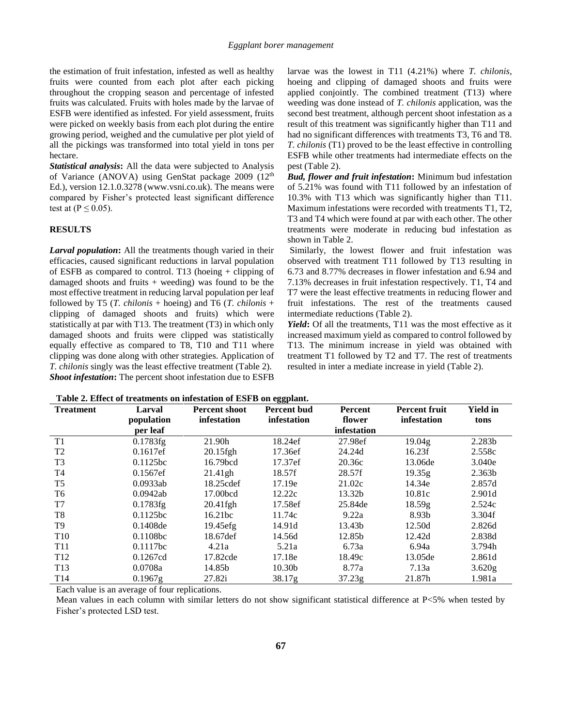the estimation of fruit infestation, infested as well as healthy fruits were counted from each plot after each picking throughout the cropping season and percentage of infested fruits was calculated. Fruits with holes made by the larvae of ESFB were identified as infested. For yield assessment, fruits were picked on weekly basis from each plot during the entire growing period, weighed and the cumulative per plot yield of all the pickings was transformed into total yield in tons per hectare.

*Statistical analysis***:** All the data were subjected to Analysis of Variance (ANOVA) using GenStat package 2009 (12<sup>th</sup> Ed.), version 12.1.0.3278 (www.vsni.co.uk). The means were compared by Fisher's protected least significant difference test at ( $P \leq 0.05$ ).

#### **RESULTS**

*Larval population***:** All the treatments though varied in their efficacies, caused significant reductions in larval population of ESFB as compared to control. T13 (hoeing + clipping of damaged shoots and fruits + weeding) was found to be the most effective treatment in reducing larval population per leaf followed by T5 (*T. chilonis* + hoeing) and T6 (*T. chilonis* + clipping of damaged shoots and fruits) which were statistically at par with T13. The treatment (T3) in which only damaged shoots and fruits were clipped was statistically equally effective as compared to T8, T10 and T11 where clipping was done along with other strategies. Application of *T. chilonis* singly was the least effective treatment (Table 2). *Shoot infestation***:** The percent shoot infestation due to ESFB

larvae was the lowest in T11 (4.21%) where *T. chilonis*, hoeing and clipping of damaged shoots and fruits were applied conjointly. The combined treatment (T13) where weeding was done instead of *T. chilonis* application, was the second best treatment, although percent shoot infestation as a result of this treatment was significantly higher than T11 and had no significant differences with treatments T3, T6 and T8. *T. chilonis* (T1) proved to be the least effective in controlling ESFB while other treatments had intermediate effects on the pest (Table 2).

*Bud, flower and fruit infestation***:** Minimum bud infestation of 5.21% was found with T11 followed by an infestation of 10.3% with T13 which was significantly higher than T11. Maximum infestations were recorded with treatments T1, T2, T3 and T4 which were found at par with each other. The other treatments were moderate in reducing bud infestation as shown in Table 2.

Similarly, the lowest flower and fruit infestation was observed with treatment T11 followed by T13 resulting in 6.73 and 8.77% decreases in flower infestation and 6.94 and 7.13% decreases in fruit infestation respectively. T1, T4 and T7 were the least effective treatments in reducing flower and fruit infestations. The rest of the treatments caused intermediate reductions (Table 2).

Yield: Of all the treatments, T11 was the most effective as it increased maximum yield as compared to control followed by T13. The minimum increase in yield was obtained with treatment T1 followed by T2 and T7. The rest of treatments resulted in inter a mediate increase in yield (Table 2).

| <b>Treatment</b> | Larval     | <b>Percent shoot</b> | 88<br><b>Percent bud</b> | <b>Percent</b> | <b>Percent fruit</b> | <b>Yield in</b>    |
|------------------|------------|----------------------|--------------------------|----------------|----------------------|--------------------|
|                  | population | infestation          | infestation              | flower         | infestation          | tons               |
|                  | per leaf   |                      |                          | infestation    |                      |                    |
| T1               | 0.1783fg   | 21.90h               | 18.24ef                  | 27.98ef        | 19.04g               | 2.283b             |
| T <sub>2</sub>   | 0.1617ef   | $20.15$ fgh          | 17.36ef                  | 24.24d         | 16.23f               | 2.558c             |
| T <sub>3</sub>   | 0.1125bc   | 16.79bcd             | 17.37ef                  | 20.36c         | 13.06de              | 3.040e             |
| T <sub>4</sub>   | 0.1567ef   | 21.41gh              | 18.57f                   | 28.57f         | 19.35g               | 2.363 <sub>b</sub> |
| T <sub>5</sub>   | 0.0933ab   | 18.25cdef            | 17.19e                   | 21.02c         | 14.34e               | 2.857d             |
| T <sub>6</sub>   | 0.0942ab   | 17.00bcd             | 12.22c                   | 13.32b         | 10.81c               | 2.901d             |
| T7               | 0.1783fg   | $20.41$ fgh          | 17.58ef                  | 25.84de        | 18.59g               | 2.524c             |
| T8               | 0.1125bc   | 16.21 <sub>bc</sub>  | 11.74c                   | 9.22a          | 8.93b                | 3.304f             |
| T9               | 0.1408de   | 19.45efg             | 14.91d                   | 13.43b         | 12.50d               | 2.826d             |
| T <sub>10</sub>  | 0.1108bc   | 18.67def             | 14.56d                   | 12.85b         | 12.42d               | 2.838d             |
| T <sub>11</sub>  | 0.1117bc   | 4.21a                | 5.21a                    | 6.73a          | 6.94a                | 3.794h             |
| T <sub>12</sub>  | 0.1267cd   | 17.82cde             | 17.18e                   | 18.49c         | 13.05de              | 2.861d             |
| T <sub>13</sub>  | 0.0708a    | 14.85b               | 10.30 <sub>b</sub>       | 8.77a          | 7.13a                | 3.620g             |
| T <sub>14</sub>  | $0.1967$ g | 27.82i               | 38.17g                   | 37.23g         | 21.87h               | 1.981a             |

|  |  | Table 2. Effect of treatments on infestation of ESFB on eggplant. |  |  |  |
|--|--|-------------------------------------------------------------------|--|--|--|
|--|--|-------------------------------------------------------------------|--|--|--|

Each value is an average of four replications.

Mean values in each column with similar letters do not show significant statistical difference at P<5% when tested by Fisher's protected LSD test.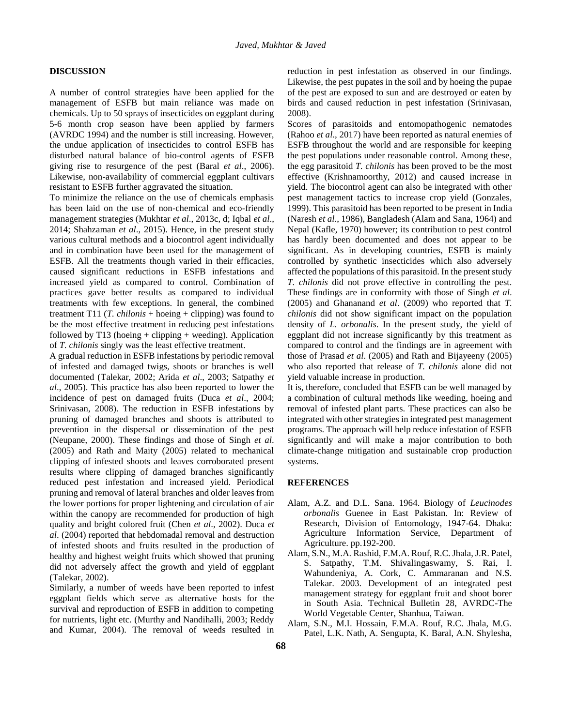### **DISCUSSION**

A number of control strategies have been applied for the management of ESFB but main reliance was made on chemicals. Up to 50 sprays of insecticides on eggplant during 5-6 month crop season have been applied by farmers (AVRDC 1994) and the number is still increasing. However, the undue application of insecticides to control ESFB has disturbed natural balance of bio-control agents of ESFB giving rise to resurgence of the pest (Baral *et al*., 2006). Likewise, non-availability of commercial eggplant cultivars resistant to ESFB further aggravated the situation.

To minimize the reliance on the use of chemicals emphasis has been laid on the use of non-chemical and eco-friendly management strategies (Mukhtar *et al*., 2013c, d; Iqbal *et al*., 2014; Shahzaman *et al*., 2015). Hence, in the present study various cultural methods and a biocontrol agent individually and in combination have been used for the management of ESFB. All the treatments though varied in their efficacies, caused significant reductions in ESFB infestations and increased yield as compared to control. Combination of practices gave better results as compared to individual treatments with few exceptions. In general, the combined treatment T11 (*T. chilonis* + hoeing + clipping) was found to be the most effective treatment in reducing pest infestations followed by T13 (hoeing  $+$  clipping  $+$  weeding). Application of *T. chilonis* singly was the least effective treatment.

A gradual reduction in ESFB infestations by periodic removal of infested and damaged twigs, shoots or branches is well documented (Talekar, 2002; Arida *et al*., 2003; Satpathy *et al*., 2005). This practice has also been reported to lower the incidence of pest on damaged fruits (Duca *et al*., 2004; Srinivasan, 2008). The reduction in ESFB infestations by pruning of damaged branches and shoots is attributed to prevention in the dispersal or dissemination of the pest (Neupane, 2000). These findings and those of Singh *et al*. (2005) and Rath and Maity (2005) related to mechanical clipping of infested shoots and leaves corroborated present results where clipping of damaged branches significantly reduced pest infestation and increased yield. Periodical pruning and removal of lateral branches and older leaves from the lower portions for proper lightening and circulation of air within the canopy are recommended for production of high quality and bright colored fruit (Chen *et al*., 2002). Duca *et al*. (2004) reported that hebdomadal removal and destruction of infested shoots and fruits resulted in the production of healthy and highest weight fruits which showed that pruning did not adversely affect the growth and yield of eggplant (Talekar, 2002).

Similarly, a number of weeds have been reported to infest eggplant fields which serve as alternative hosts for the survival and reproduction of ESFB in addition to competing for nutrients, light etc. (Murthy and Nandihalli, 2003; Reddy and Kumar, 2004). The removal of weeds resulted in reduction in pest infestation as observed in our findings. Likewise, the pest pupates in the soil and by hoeing the pupae of the pest are exposed to sun and are destroyed or eaten by birds and caused reduction in pest infestation (Srinivasan, 2008).

Scores of parasitoids and entomopathogenic nematodes (Rahoo *et al*., 2017) have been reported as natural enemies of ESFB throughout the world and are responsible for keeping the pest populations under reasonable control. Among these, the egg parasitoid *T. chilonis* has been proved to be the most effective (Krishnamoorthy, 2012) and caused increase in yield. The biocontrol agent can also be integrated with other pest management tactics to increase crop yield (Gonzales, 1999). This parasitoid has been reported to be present in India (Naresh *et al*., 1986), Bangladesh (Alam and Sana, 1964) and Nepal (Kafle, 1970) however; its contribution to pest control has hardly been documented and does not appear to be significant. As in developing countries, ESFB is mainly controlled by synthetic insecticides which also adversely affected the populations of this parasitoid. In the present study *T. chilonis* did not prove effective in controlling the pest. These findings are in conformity with those of Singh *et al*. (2005) and Ghananand *et al*. (2009) who reported that *T. chilonis* did not show significant impact on the population density of *L. orbonalis*. In the present study, the yield of eggplant did not increase significantly by this treatment as compared to control and the findings are in agreement with those of Prasad *et al*. (2005) and Rath and Bijayeeny (2005) who also reported that release of *T. chilonis* alone did not yield valuable increase in production.

It is, therefore, concluded that ESFB can be well managed by a combination of cultural methods like weeding, hoeing and removal of infested plant parts. These practices can also be integrated with other strategies in integrated pest management programs. The approach will help reduce infestation of ESFB significantly and will make a major contribution to both climate-change mitigation and sustainable crop production systems.

#### **REFERENCES**

- Alam, A.Z. and D.L. Sana. 1964. Biology of *Leucinodes orbonalis* Guenee in East Pakistan. In: Review of Research, Division of Entomology, 1947-64. Dhaka: Agriculture Information Service, Department of Agriculture. pp.192-200.
- Alam, S.N., M.A. Rashid, F.M.A. Rouf, R.C. Jhala, J.R. Patel, S. Satpathy, T.M. Shivalingaswamy, S. Rai, I. Wahundeniya, A. Cork, C. Ammaranan and N.S. Talekar. 2003. Development of an integrated pest management strategy for eggplant fruit and shoot borer in South Asia. Technical Bulletin 28, AVRDC-The World Vegetable Center, Shanhua, Taiwan.
- Alam, S.N., M.I. Hossain, F.M.A. Rouf, R.C. Jhala, M.G. Patel, L.K. Nath, A. Sengupta, K. Baral, A.N. Shylesha,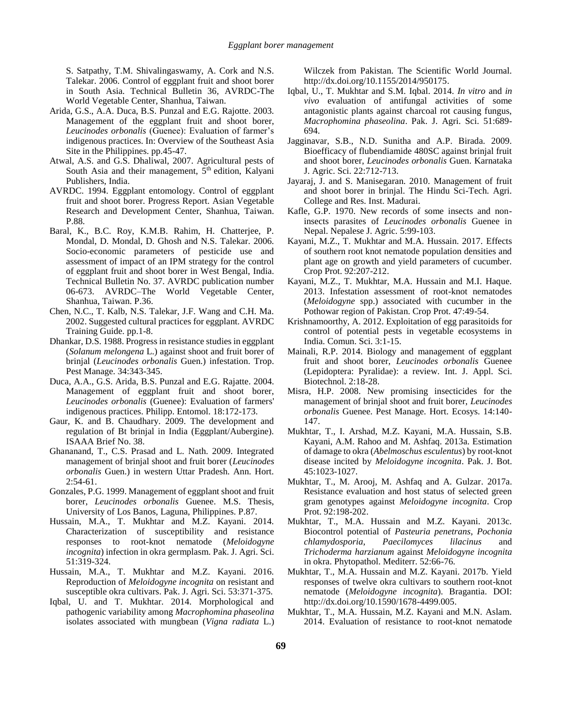S. Satpathy, T.M. Shivalingaswamy, A. Cork and N.S. Talekar. 2006. Control of eggplant fruit and shoot borer in South Asia. Technical Bulletin 36, AVRDC-The World Vegetable Center, Shanhua, Taiwan.

- Arida, G.S., A.A. Duca, B.S. Punzal and E.G. Rajotte. 2003. Management of the eggplant fruit and shoot borer, *Leucinodes orbonalis* (Guenee): Evaluation of farmer's indigenous practices. In: Overview of the Southeast Asia Site in the Philippines. pp.45-47.
- Atwal, A.S. and G.S. Dhaliwal, 2007. Agricultural pests of South Asia and their management,  $5<sup>th</sup>$  edition, Kalyani Publishers, India.
- AVRDC. 1994. Eggplant entomology. Control of eggplant fruit and shoot borer. Progress Report. Asian Vegetable Research and Development Center, Shanhua, Taiwan. P.88.
- Baral, K., B.C. Roy, K.M.B. Rahim, H. Chatterjee, P. Mondal, D. Mondal, D. Ghosh and N.S. Talekar. 2006. Socio-economic parameters of pesticide use and assessment of impact of an IPM strategy for the control of eggplant fruit and shoot borer in West Bengal, India. Technical Bulletin No. 37. AVRDC publication number 06-673. AVRDC–The World Vegetable Center, Shanhua, Taiwan. P.36.
- Chen, N.C., T. Kalb, N.S. Talekar, J.F. Wang and C.H. Ma. 2002. Suggested cultural practices for eggplant. AVRDC Training Guide. pp.1-8.
- Dhankar, D.S. 1988. Progress in resistance studies in eggplant (*Solanum melongena* L.) against shoot and fruit borer of brinjal (*Leucinodes orbonalis* Guen.) infestation. Trop. Pest Manage. 34:343-345.
- Duca, A.A., G.S. Arida, B.S. Punzal and E.G. Rajatte. 2004. Management of eggplant fruit and shoot borer, *Leucinodes orbonalis* (Guenee): Evaluation of farmers' indigenous practices. Philipp. Entomol. 18:172-173.
- Gaur, K. and B. Chaudhary. 2009. The development and regulation of Bt brinjal in India (Eggplant/Aubergine). ISAAA Brief No. 38.
- Ghananand, T., C.S. Prasad and L. Nath. 2009. Integrated management of brinjal shoot and fruit borer (*Leucinodes orbonalis* Guen.) in western Uttar Pradesh. Ann. Hort. 2:54-61.
- Gonzales, P.G. 1999. Management of eggplant shoot and fruit borer, *Leucinodes orbonalis* Guenee. M.S. Thesis, University of Los Banos, Laguna, Philippines. P.87.
- Hussain, M.A., T. Mukhtar and M.Z. Kayani. 2014. Characterization of susceptibility and resistance responses to root-knot nematode (*Meloidogyne incognita*) infection in okra germplasm. Pak. J. Agri. Sci. 51:319-324.
- Hussain, M.A., T. Mukhtar and M.Z. Kayani. 2016. Reproduction of *Meloidogyne incognita* on resistant and susceptible okra cultivars. Pak. J. Agri. Sci. 53:371-375.
- Iqbal, U. and T. Mukhtar. 2014. Morphological and pathogenic variability among *Macrophomina phaseolina* isolates associated with mungbean (*Vigna radiata* L.)

Wilczek from Pakistan. The Scientific World Journal. [http://dx.doi.org/10.1155/2014/950175.](http://dx.doi.org/10.1155/2014/950175)

- Iqbal, U., T. Mukhtar and S.M. Iqbal. 2014. *In vitro* and *in vivo* evaluation of antifungal activities of some antagonistic plants against charcoal rot causing fungus, *Macrophomina phaseolina*. Pak. J. Agri. Sci. 51:689- 694.
- Jagginavar, S.B., N.D. Sunitha and A.P. Birada. 2009. Bioefficacy of flubendiamide 480SC against brinjal fruit and shoot borer, *Leucinodes orbonalis* Guen. Karnataka J. Agric. Sci. 22:712-713.
- Jayaraj, J. and S. Manisegaran. 2010. Management of fruit and shoot borer in brinjal. The Hindu Sci-Tech. Agri. College and Res. Inst. Madurai.
- Kafle, G.P. 1970. New records of some insects and noninsects parasites of *Leucinodes orbonalis* Guenee in Nepal. Nepalese J. Agric. 5:99-103.
- Kayani, M.Z., T. Mukhtar and M.A. Hussain. 2017. Effects of southern root knot nematode population densities and plant age on growth and yield parameters of cucumber. Crop Prot. 92:207-212.
- Kayani, M.Z., T. Mukhtar, M.A. Hussain and M.I. Haque. 2013. Infestation assessment of root-knot nematodes (*Meloidogyne* spp.) associated with cucumber in the Pothowar region of Pakistan. Crop Prot. 47:49-54.
- Krishnamoorthy, A. 2012. Exploitation of egg parasitoids for control of potential pests in vegetable ecosystems in India. Comun. Sci. 3:1-15.
- Mainali, R.P. 2014. Biology and management of eggplant fruit and shoot borer, *Leucinodes orbonalis* Guenee (Lepidoptera: Pyralidae): a review. Int. J. Appl. Sci. Biotechnol. 2:18-28.
- Misra, H.P. 2008. New promising insecticides for the management of brinjal shoot and fruit borer, *Leucinodes orbonalis* Guenee. Pest Manage. Hort. Ecosys. 14:140- 147.
- Mukhtar, T., I. Arshad, M.Z. Kayani, M.A. Hussain, S.B. Kayani, A.M. Rahoo and M. Ashfaq. 2013a. Estimation of damage to okra (*Abelmoschus esculentus*) by root-knot disease incited by *Meloidogyne incognita*. Pak. J. Bot. 45:1023-1027.
- Mukhtar, T., M. Arooj, M. Ashfaq and A. Gulzar. 2017a. Resistance evaluation and host status of selected green gram genotypes against *Meloidogyne incognita*. Crop Prot. 92:198-202.
- Mukhtar, T., M.A. Hussain and M.Z. Kayani. 2013c. Biocontrol potential of *Pasteuria penetrans*, *Pochonia chlamydosporia*, *Paecilomyces lilacinus* and *Trichoderma harzianum* against *Meloidogyne incognita* in okra. Phytopathol. Mediterr. 52:66-76.
- Mukhtar, T., M.A. Hussain and M.Z. Kayani. 2017b. Yield responses of twelve okra cultivars to southern root-knot nematode (*Meloidogyne incognita*). Bragantia. DOI: http://dx.doi.org/10.1590/1678-4499.005.
- Mukhtar, T., M.A. Hussain, M.Z. Kayani and M.N. Aslam. 2014. Evaluation of resistance to root-knot nematode